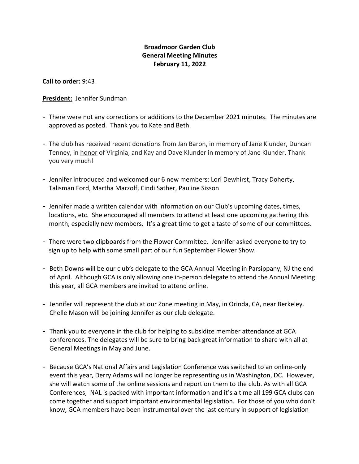## **Broadmoor Garden Club General Meeting Minutes February 11, 2022**

**Call to order:** 9:43

### **President:** Jennifer Sundman

- There were not any corrections or additions to the December 2021 minutes. The minutes are approved as posted. Thank you to Kate and Beth.
- The club has received recent donations from Jan Baron, in memory of Jane Klunder, Duncan Tenney, in honor of Virginia, and Kay and Dave Klunder in memory of Jane Klunder. Thank you very much!
- Jennifer introduced and welcomed our 6 new members: Lori Dewhirst, Tracy Doherty, Talisman Ford, Martha Marzolf, Cindi Sather, Pauline Sisson
- Jennifer made a written calendar with information on our Club's upcoming dates, times, locations, etc. She encouraged all members to attend at least one upcoming gathering this month, especially new members. It's a great time to get a taste of some of our committees.
- There were two clipboards from the Flower Committee. Jennifer asked everyone to try to sign up to help with some small part of our fun September Flower Show.
- Beth Downs will be our club's delegate to the GCA Annual Meeting in Parsippany, NJ the end of April. Although GCA is only allowing one in-person delegate to attend the Annual Meeting this year, all GCA members are invited to attend online.
- Jennifer will represent the club at our Zone meeting in May, in Orinda, CA, near Berkeley. Chelle Mason will be joining Jennifer as our club delegate.
- Thank you to everyone in the club for helping to subsidize member attendance at GCA conferences. The delegates will be sure to bring back great information to share with all at General Meetings in May and June.
- Because GCA's National Affairs and Legislation Conference was switched to an online-only event this year, Derry Adams will no longer be representing us in Washington, DC. However, she will watch some of the online sessions and report on them to the club. As with all GCA Conferences, NAL is packed with important information and it's a time all 199 GCA clubs can come together and support important environmental legislation. For those of you who don't know, GCA members have been instrumental over the last century in support of legislation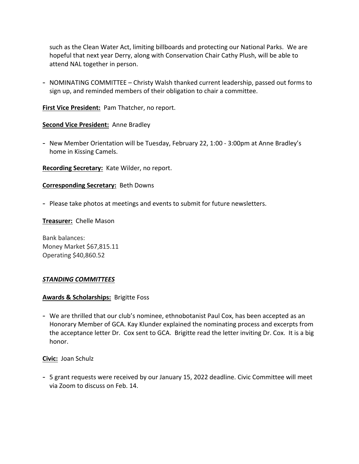such as the Clean Water Act, limiting billboards and protecting our National Parks. We are hopeful that next year Derry, along with Conservation Chair Cathy Plush, will be able to attend NAL together in person.

- NOMINATING COMMITTEE – Christy Walsh thanked current leadership, passed out forms to sign up, and reminded members of their obligation to chair a committee.

**First Vice President:** Pam Thatcher, no report.

**Second Vice President:** Anne Bradley

- New Member Orientation will be Tuesday, February 22, 1:00 - 3:00pm at Anne Bradley's home in Kissing Camels.

**Recording Secretary:** Kate Wilder, no report.

#### **Corresponding Secretary:** Beth Downs

- Please take photos at meetings and events to submit for future newsletters.

**Treasurer:** Chelle Mason

Bank balances: Money Market \$67,815.11 Operating \$40,860.52

#### *STANDING COMMITTEES*

#### **Awards & Scholarships:** Brigitte Foss

- We are thrilled that our club's nominee, ethnobotanist Paul Cox, has been accepted as an Honorary Member of GCA. Kay Klunder explained the nominating process and excerpts from the acceptance letter Dr. Cox sent to GCA. Brigitte read the letter inviting Dr. Cox. It is a big honor.

**Civic:** Joan Schulz

- 5 grant requests were received by our January 15, 2022 deadline. Civic Committee will meet via Zoom to discuss on Feb. 14.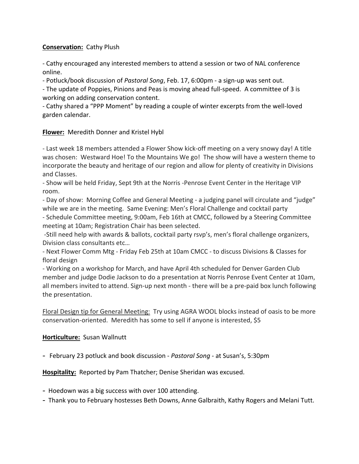## **Conservation:** Cathy Plush

- Cathy encouraged any interested members to attend a session or two of NAL conference online.

- Potluck/book discussion of *Pastoral Song*, Feb. 17, 6:00pm - a sign-up was sent out.

- The update of Poppies, Pinions and Peas is moving ahead full-speed. A committee of 3 is working on adding conservation content.

- Cathy shared a "PPP Moment" by reading a couple of winter excerpts from the well-loved garden calendar.

## **Flower:** Meredith Donner and Kristel Hybl

- Last week 18 members attended a Flower Show kick-off meeting on a very snowy day! A title was chosen: Westward Hoe! To the Mountains We go! The show will have a western theme to incorporate the beauty and heritage of our region and allow for plenty of creativity in Divisions and Classes.

- Show will be held Friday, Sept 9th at the Norris -Penrose Event Center in the Heritage VIP room.

- Day of show: Morning Coffee and General Meeting - a judging panel will circulate and "judge" while we are in the meeting. Same Evening: Men's Floral Challenge and cocktail party

- Schedule Committee meeting, 9:00am, Feb 16th at CMCC, followed by a Steering Committee meeting at 10am; Registration Chair has been selected.

-Still need help with awards & ballots, cocktail party rsvp's, men's floral challenge organizers, Division class consultants etc…

- Next Flower Comm Mtg - Friday Feb 25th at 10am CMCC - to discuss Divisions & Classes for floral design

- Working on a workshop for March, and have April 4th scheduled for Denver Garden Club member and judge Dodie Jackson to do a presentation at Norris Penrose Event Center at 10am, all members invited to attend. Sign-up next month - there will be a pre-paid box lunch following the presentation.

Floral Design tip for General Meeting: Try using AGRA WOOL blocks instead of oasis to be more conservation-oriented. Meredith has some to sell if anyone is interested, \$5

### **Horticulture:** Susan Wallnutt

- February 23 potluck and book discussion - *Pastoral Song* - at Susan's, 5:30pm

**Hospitality:** Reported by Pam Thatcher; Denise Sheridan was excused.

- Hoedown was a big success with over 100 attending.
- Thank you to February hostesses Beth Downs, Anne Galbraith, Kathy Rogers and Melani Tutt.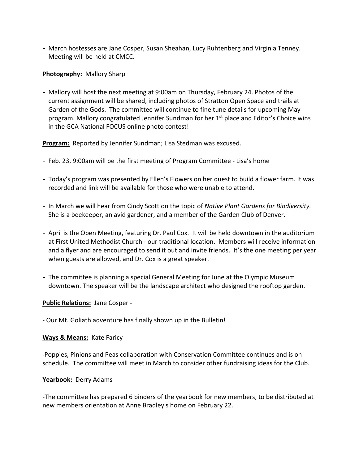- March hostesses are Jane Cosper, Susan Sheahan, Lucy Ruhtenberg and Virginia Tenney. Meeting will be held at CMCC.

### **Photography:** Mallory Sharp

- Mallory will host the next meeting at 9:00am on Thursday, February 24. Photos of the current assignment will be shared, including photos of Stratton Open Space and trails at Garden of the Gods. The committee will continue to fine tune details for upcoming May program. Mallory congratulated Jennifer Sundman for her 1<sup>st</sup> place and Editor's Choice wins in the GCA National FOCUS online photo contest!

**Program:** Reported by Jennifer Sundman; Lisa Stedman was excused.

- Feb. 23, 9:00am will be the first meeting of Program Committee Lisa's home
- Today's program was presented by Ellen's Flowers on her quest to build a flower farm. It was recorded and link will be available for those who were unable to attend.
- In March we will hear from Cindy Scott on the topic of *Native Plant Gardens for Biodiversity.* She is a beekeeper, an avid gardener, and a member of the Garden Club of Denver.
- April is the Open Meeting, featuring Dr. Paul Cox. It will be held downtown in the auditorium at First United Methodist Church - our traditional location. Members will receive information and a flyer and are encouraged to send it out and invite friends. It's the one meeting per year when guests are allowed, and Dr. Cox is a great speaker.
- The committee is planning a special General Meeting for June at the Olympic Museum downtown. The speaker will be the landscape architect who designed the rooftop garden.

### **Public Relations:** Jane Cosper -

- Our Mt. Goliath adventure has finally shown up in the Bulletin!

### **Ways & Means:** Kate Faricy

-Poppies, Pinions and Peas collaboration with Conservation Committee continues and is on schedule. The committee will meet in March to consider other fundraising ideas for the Club.

### **Yearbook:** Derry Adams

-The committee has prepared 6 binders of the yearbook for new members, to be distributed at new members orientation at Anne Bradley's home on February 22.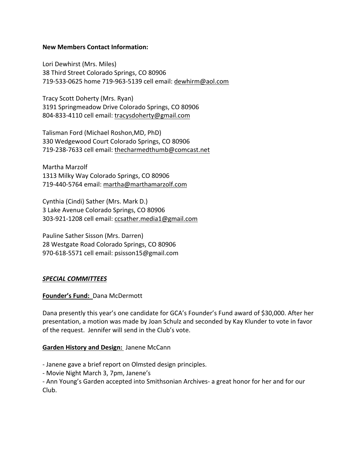### **New Members Contact Information:**

Lori Dewhirst (Mrs. Miles) 38 Third Street Colorado Springs, CO 80906 719-533-0625 home 719-963-5139 cell email: dewhirm@aol.com

Tracy Scott Doherty (Mrs. Ryan) 3191 Springmeadow Drive Colorado Springs, CO 80906 804-833-4110 cell email: tracysdoherty@gmail.com

Talisman Ford (Michael Roshon,MD, PhD) 330 Wedgewood Court Colorado Springs, CO 80906 719-238-7633 cell email: thecharmedthumb@comcast.net

Martha Marzolf 1313 Milky Way Colorado Springs, CO 80906 719-440-5764 email: martha@marthamarzolf.com

Cynthia (Cindi) Sather (Mrs. Mark D.) 3 Lake Avenue Colorado Springs, CO 80906 303-921-1208 cell email: ccsather.media1@gmail.com

Pauline Sather Sisson (Mrs. Darren) 28 Westgate Road Colorado Springs, CO 80906 970-618-5571 cell email: psisson15@gmail.com

### *SPECIAL COMMITTEES*

### **Founder's Fund:** Dana McDermott

Dana presently this year's one candidate for GCA's Founder's Fund award of \$30,000. After her presentation, a motion was made by Joan Schulz and seconded by Kay Klunder to vote in favor of the request. Jennifer will send in the Club's vote.

#### **Garden History and Design:** Janene McCann

- Janene gave a brief report on Olmsted design principles.

- Movie Night March 3, 7pm, Janene's

- Ann Young's Garden accepted into Smithsonian Archives- a great honor for her and for our Club.